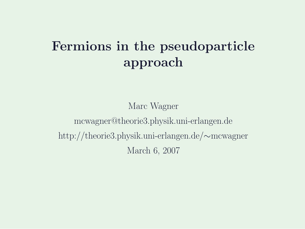#### Fermions in the pseudoparticle approach

Marc Wagner mcwagner@theorie3.physik.uni-erlangen.de http://theorie3.physik.uni-erlangen.de/∼mcwagner March 6, 2007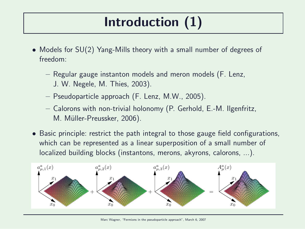# Introduction (1)

- Models for SU(2) Yang-Mills theory with a small number of degrees of freedom:
	- Regular gauge instanton models and meron models (F. Lenz, J. W. Negele, M. Thies, 2003).
	- Pseudoparticle approach (F. Lenz, M.W., 2005).
	- Calorons with non-trivial holonomy (P. Gerhold, E.-M. Ilgenfritz, M. Müller-Preussker, 2006).
- Basic principle: restrict the path integral to those gauge field configurations, which can be represented as a linear superposition of a small number of localized building blocks (instantons, merons, akyrons, calorons, ...).



Marc Wagner, "Fermions in the pseudoparticle approach", March 6, 2007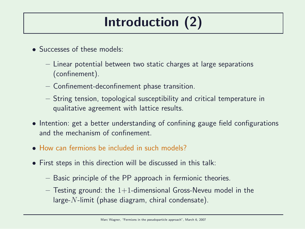# Introduction (2)

- Successes of these models:
	- Linear potential between two static charges at large separations (confinement).
	- Confinement-deconfinement phase transition.
	- String tension, topological susceptibility and critical temperature in qualitative agreement with lattice results.
- Intention: get a better understanding of confining gauge field configurations and the mechanism of confinement.
- How can fermions be included in such models?
- First steps in this direction will be discussed in this talk:
	- Basic principle of the PP approach in fermionic theories.
	- $-$  Testing ground: the 1+1-dimensional Gross-Neveu model in the large- $N$ -limit (phase diagram, chiral condensate).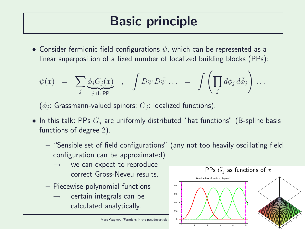## Basic principle

• Consider fermionic field configurations  $\psi$ , which can be represented as a linear superposition of a fixed number of localized building blocks (PPs):

$$
\psi(x) = \sum_{j} \underbrace{\phi_j G_j(x)}_{j \text{-th PP}} , \quad \int D\psi D\bar{\psi} \dots = \int \left( \prod_j d\phi_j d\bar{\phi}_j \right) \dots
$$

 $(\phi_j\colon \mathsf{Grassmann}\text{-} \mathsf{valued}\ \mathsf{spinors};\ G_j\colon \mathsf{localized}\ \mathsf{functions}).$ 

- In this talk: PPs  $G_i$  are uniformly distributed "hat functions" (B-spline basis functions of degree 2).
	- "Sensible set of field configurations" (any not too heavily oscillating field configuration can be approximated)
		- we can expect to reproduce correct Gross-Neveu results.
	- Piecewise polynomial functions
		- $\rightarrow$  certain integrals can be calculated analytically.



Marc Wagner, "Fermions in the pseudoparticle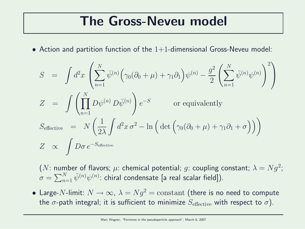#### The Gross-Neveu model

• Action and partition function of the  $1+1$ -dimensional Gross-Neveu model:

$$
S = \int d^2x \left( \sum_{n=1}^N \bar{\psi}^{(n)} \Big( \gamma_0 (\partial_0 + \mu) + \gamma_1 \partial_1 \Big) \psi^{(n)} - \frac{g^2}{2} \left( \sum_{n=1}^N \bar{\psi}^{(n)} \psi^{(n)} \right)^2 \right)
$$
  
\n
$$
Z = \int \left( \prod_{n=1}^N D\psi^{(n)} D\bar{\psi}^{(n)} \right) e^{-S} \qquad \text{or equivalently}
$$
  
\n
$$
S_{\text{effective}} = N \left( \frac{1}{2\lambda} \int d^2x \sigma^2 - \ln \Big( \det \Big( \gamma_0 (\partial_0 + \mu) + \gamma_1 \partial_1 + \sigma \Big) \Big) \Big)
$$
  
\n
$$
Z \propto \int D\sigma e^{-S_{\text{effective}}}
$$

 $(N:$  number of flavors;  $\mu$ : chemical potential;  $g$ : coupling constant;  $\lambda=Ng^2;$  $\sigma = \sum_{n=1}^N \bar{\psi}^{(n)} \psi^{(n)}$ : chiral condensate [a real scalar field]).

• Large-N-limit:  $N \rightarrow \infty$ ,  $\lambda = Ng^2 = \mathrm{constant}$  (there is no need to compute the  $\sigma$ -path integral; it is sufficient to minimize  $S_{\text{effective}}$  with respect to  $\sigma$ ).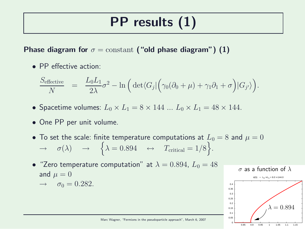# PP results (1)

Phase diagram for  $\sigma = constant$  ("old phase diagram") (1)

• PP effective action:

$$
\frac{S_{\text{effective}}}{N} = \frac{L_0 L_1}{2\lambda} \sigma^2 - \ln\left(\det\langle G_j| \left(\gamma_0(\partial_0 + \mu) + \gamma_1 \partial_1 + \sigma\right) | G_{j'} \rangle\right).
$$

- Spacetime volumes:  $L_0 \times L_1 = 8 \times 144 \dots L_0 \times L_1 = 48 \times 144$ .
- One PP per unit volume.
- To set the scale: finite temperature computations at  $L_0 = 8$  and  $\mu = 0$  $\rightarrow \quad \sigma(\lambda) \quad \rightarrow \quad \left\{\lambda = 0.894 \quad \leftrightarrow \quad T_{\text{critical}} = 1/8\right\}.$
- "Zero temperature computation" at  $\lambda = 0.894$ ,  $L_0 = 48$ and  $\mu = 0$

$$
\rightarrow \quad \sigma_0 = 0.282.
$$

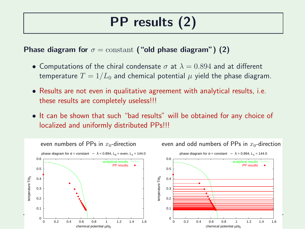## PP results (2)

Phase diagram for  $\sigma = constant$  ("old phase diagram") (2)

- Computations of the chiral condensate  $\sigma$  at  $\lambda = 0.894$  and at different temperature  $T = 1/L_0$  and chemical potential  $\mu$  yield the phase diagram.
- Results are not even in qualitative agreement with analytical results, i.e. these results are completely useless!!!
- It can be shown that such "bad results" will be obtained for any choice of localized and uniformly distributed PPs!!!

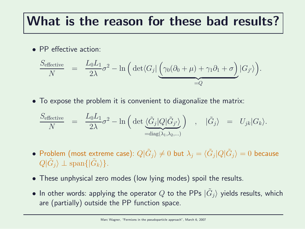#### What is the reason for these bad results?

• PP effective action:

$$
\frac{S_{\text{effective}}}{N} = \frac{L_0 L_1}{2\lambda} \sigma^2 - \ln\left(\det\langle G_j| \underbrace{\left(\gamma_0(\partial_0 + \mu) + \gamma_1 \partial_1 + \sigma\right)}_{=Q} |G_{j'}\rangle\right).
$$

• To expose the problem it is convenient to diagonalize the matrix:

$$
\frac{S_{\text{effective}}}{N} = \frac{L_0 L_1}{2\lambda} \sigma^2 - \ln\left(\det \underbrace{\langle \tilde{G}_j | Q | \tilde{G}_{j'} \rangle}_{\text{diag}(\lambda_1, \lambda_2, \ldots)}\right) , \quad |\tilde{G}_j\rangle = U_{jk} |G_k\rangle.
$$

- $\bullet$  Problem (most extreme case):  $Q|\tilde{G}_j\rangle\neq 0$  but  $\lambda_j=\langle \tilde{G}_j|Q|\tilde{G}_j\rangle=0$  because  $Q|\tilde{G}_j\rangle \perp \text{span}\{|\tilde{G}_k\rangle\}.$
- These unphysical zero modes (low lying modes) spoil the results.
- $\bullet\,$  In other words: applying the operator  $Q$  to the PPs  $|\tilde{G}_{j}\rangle$  yields results, which are (partially) outside the PP function space.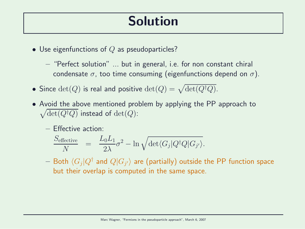### Solution

• Use eigenfunctions of  $Q$  as pseudoparticles?

– "Perfect solution" ... but in general, i.e. for non constant chiral condensate  $\sigma$ , too time consuming (eigenfunctions depend on  $\sigma$ ).

- Since  $\det(Q)$  is real and positive  $\det(Q) = \sqrt{\det(Q^\dagger Q)}$ .
- Avoid the above mentioned problem by applying the PP approach to  $\sqrt{\det(Q^{\dagger}Q)}$  instead of  $\det(Q)$ :
	- Effective action:

$$
\frac{S_{\text{effective}}}{N} = \frac{L_0 L_1}{2\lambda} \sigma^2 - \ln \sqrt{\det \langle G_j | Q^\dagger Q | G_{j'} \rangle}.
$$

 $-$  Both  $\langle G_j|Q^\dagger$  and  $Q|G_{j'}\rangle$  are (partially) outside the PP function space but their overlap is computed in the same space.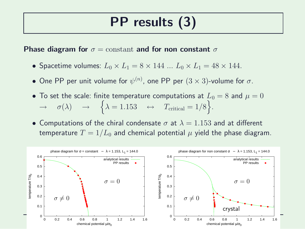#### PP results (3)

Phase diagram for  $\sigma = constant$  and for non constant  $\sigma$ 

- Spacetime volumes:  $L_0 \times L_1 = 8 \times 144 \dots L_0 \times L_1 = 48 \times 144$ .
- One PP per unit volume for  $\psi^{(n)}$ , one PP per  $(3\times 3)$ -volume for  $\sigma.$
- To set the scale: finite temperature computations at  $L_0 = 8$  and  $\mu = 0$  $\rightarrow \quad \sigma(\lambda) \quad \rightarrow \quad \left\{\lambda = 1.153 \quad \leftrightarrow \quad T_{\text{critical}} = 1/8\right\}.$
- Computations of the chiral condensate  $\sigma$  at  $\lambda = 1.153$  and at different temperature  $T = 1/L_0$  and chemical potential  $\mu$  yield the phase diagram.

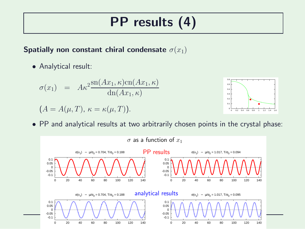# PP results (4)

#### Spatially non constant chiral condensate  $\sigma(x_1)$

• Analytical result:

$$
\sigma(x_1) = A\kappa^2 \frac{\operatorname{sn}(Ax_1, \kappa)\operatorname{cn}(Ax_1, \kappa)}{\operatorname{dn}(Ax_1, \kappa)}
$$
  
(A = A(\mu, T),  $\kappa = \kappa(\mu, T)$ ).



• PP and analytical results at two arbitrarily chosen points in the crystal phase: